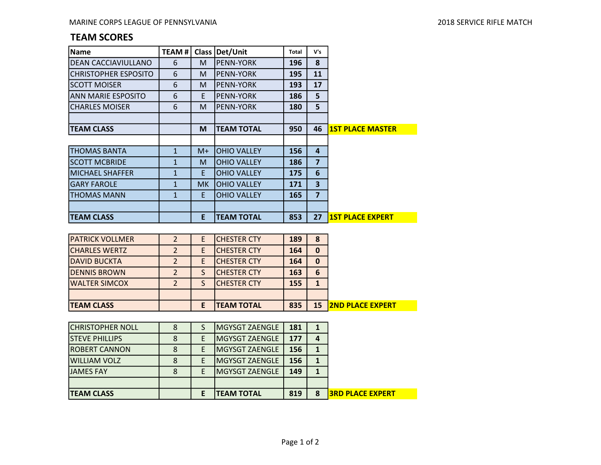## TEAM SCORES

| Name                        | <b>TEAM#</b> | <b>Class</b> | Det/Unit           | Total | V's |                         |
|-----------------------------|--------------|--------------|--------------------|-------|-----|-------------------------|
| <b>DEAN CACCIAVIULLANO</b>  | 6            | M            | <b>PENN-YORK</b>   | 196   | 8   |                         |
| <b>CHRISTOPHER ESPOSITO</b> | 6            | M            | <b>PENN-YORK</b>   | 195   | 11  |                         |
| <b>SCOTT MOISER</b>         | 6            | M            | <b>PENN-YORK</b>   | 193   | 17  |                         |
| ANN MARIE ESPOSITO          | 6            | E            | <b>PENN-YORK</b>   | 186   | 5   |                         |
| <b>CHARLES MOISER</b>       | 6            | M            | <b>PENN-YORK</b>   | 180   | 5   |                         |
|                             |              |              |                    |       |     |                         |
| <b>TEAM CLASS</b>           |              | M            | <b>TEAM TOTAL</b>  | 950   | 46  | <b>1ST PLACE MASTER</b> |
|                             |              |              |                    |       |     |                         |
| <b>THOMAS BANTA</b>         | $\mathbf{1}$ | $M+$         | <b>OHIO VALLEY</b> | 156   | 4   |                         |
| <b>SCOTT MCBRIDE</b>        | $\mathbf{1}$ | M            | <b>OHIO VALLEY</b> | 186   | 7   |                         |
| IMICHAEL SHAFFER            | $\mathbf{1}$ | E            | <b>OHIO VALLEY</b> | 175   | 6   |                         |
| IGARY FAROLE                | $\mathbf{1}$ | MK.          | <b>OHIO VALLEY</b> | 171   | 3   |                         |
| ITHOMAS MANN                | $\mathbf{1}$ | E            | <b>OHIO VALLEY</b> | 165   | 7   |                         |
|                             |              |              |                    |       |     |                         |
| <b>ITEAM CLASS</b>          |              | E            | <b>TEAM TOTAL</b>  | 853   | 27  | <b>1ST PLACE EXPERT</b> |

| <b>ITEAM CLASS</b>     |                |    | <b>ITEAM TOTAL</b>  | 835 | 15 | <b>2ND PLACE EXPERT</b> |
|------------------------|----------------|----|---------------------|-----|----|-------------------------|
|                        |                |    |                     |     |    |                         |
| <b>WALTER SIMCOX</b>   | $\overline{2}$ |    | <b>CHESTER CTY</b>  | 155 | 1  |                         |
| <b>DENNIS BROWN</b>    | 2              |    | <b>CHESTER CTY</b>  | 163 | 6  |                         |
| IDAVID BUCKTA          |                |    | <b>CHESTER CTY</b>  | 164 | 0  |                         |
| ICHARLES WERTZ         | 2              |    | <b>CHESTER CTY</b>  | 164 | 0  |                         |
| <b>PATRICK VOLLMER</b> | $\overline{2}$ | E. | <b>ICHESTER CTY</b> | 189 | 8  |                         |

| <b>ITEAM CLASS</b>      |   | <b>TEAM TOTAL</b> | 819 | 8 | <b>I3RD PLACE EXPERT</b> |
|-------------------------|---|-------------------|-----|---|--------------------------|
|                         |   |                   |     |   |                          |
| <b>JAMES FAY</b>        |   | MGYSGT ZAENGLE    | 149 |   |                          |
| <b>WILLIAM VOLZ</b>     | E | MGYSGT ZAENGLE    | 156 |   |                          |
| <b>IROBERT CANNON</b>   |   | MGYSGT ZAENGLE    | 156 |   |                          |
| <b>STEVE PHILLIPS</b>   |   | MGYSGT ZAENGLE    | 177 | 4 |                          |
| <b>CHRISTOPHER NOLL</b> |   | MGYSGT ZAENGLE    | 181 |   |                          |